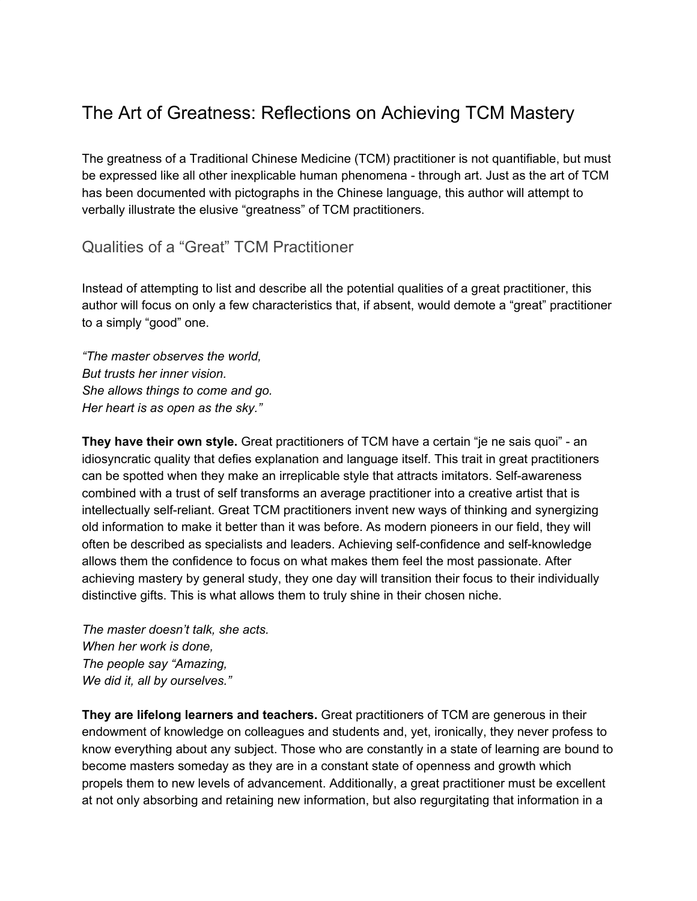## The Art of Greatness: Reflections on Achieving TCM Mastery

The greatness of a Traditional Chinese Medicine (TCM) practitioner is not quantifiable, but must be expressed like all other inexplicable human phenomena - through art. Just as the art of TCM has been documented with pictographs in the Chinese language, this author will attempt to verbally illustrate the elusive "greatness" of TCM practitioners.

## Qualities of a "Great" TCM Practitioner

Instead of attempting to list and describe all the potential qualities of a great practitioner, this author will focus on only a few characteristics that, if absent, would demote a "great" practitioner to a simply "good" one.

*"The master observes the world, But trusts her inner vision. She allows things to come and go. Her heart is as open as the sky."*

**They have their own style.** Great practitioners of TCM have a certain "je ne sais quoi" - an idiosyncratic quality that defies explanation and language itself. This trait in great practitioners can be spotted when they make an irreplicable style that attracts imitators. Self-awareness combined with a trust of self transforms an average practitioner into a creative artist that is intellectually self-reliant. Great TCM practitioners invent new ways of thinking and synergizing old information to make it better than it was before. As modern pioneers in our field, they will often be described as specialists and leaders. Achieving self-confidence and self-knowledge allows them the confidence to focus on what makes them feel the most passionate. After achieving mastery by general study, they one day will transition their focus to their individually distinctive gifts. This is what allows them to truly shine in their chosen niche.

*The master doesn't talk, she acts. When her work is done, The people say "Amazing, We did it, all by ourselves."*

**They are lifelong learners and teachers.** Great practitioners of TCM are generous in their endowment of knowledge on colleagues and students and, yet, ironically, they never profess to know everything about any subject. Those who are constantly in a state of learning are bound to become masters someday as they are in a constant state of openness and growth which propels them to new levels of advancement. Additionally, a great practitioner must be excellent at not only absorbing and retaining new information, but also regurgitating that information in a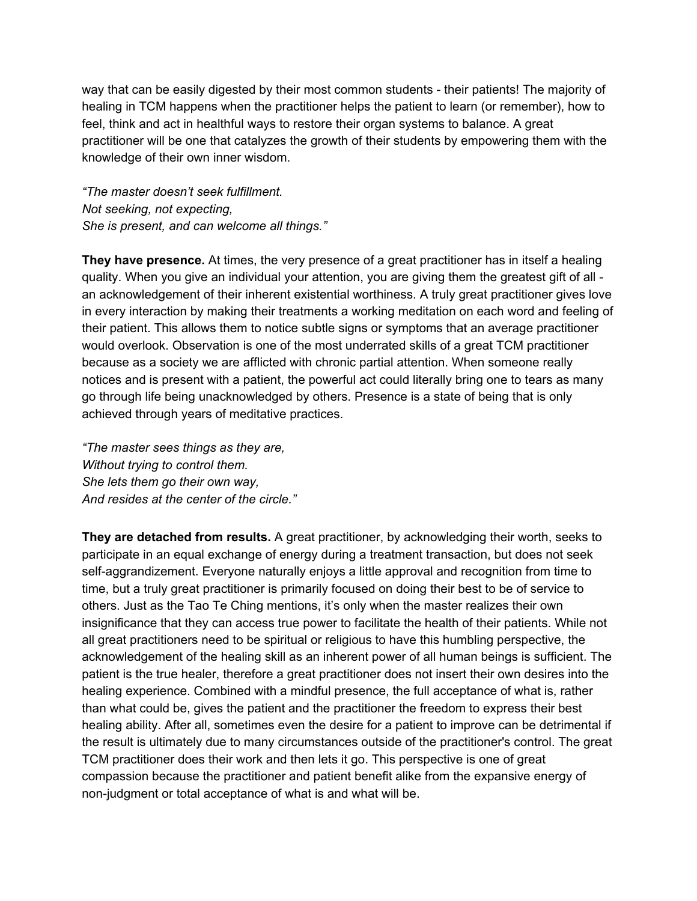way that can be easily digested by their most common students - their patients! The majority of healing in TCM happens when the practitioner helps the patient to learn (or remember), how to feel, think and act in healthful ways to restore their organ systems to balance. A great practitioner will be one that catalyzes the growth of their students by empowering them with the knowledge of their own inner wisdom.

*"The master doesn't seek fulfillment. Not seeking, not expecting, She is present, and can welcome all things."*

**They have presence.** At times, the very presence of a great practitioner has in itself a healing quality. When you give an individual your attention, you are giving them the greatest gift of all an acknowledgement of their inherent existential worthiness. A truly great practitioner gives love in every interaction by making their treatments a working meditation on each word and feeling of their patient. This allows them to notice subtle signs or symptoms that an average practitioner would overlook. Observation is one of the most underrated skills of a great TCM practitioner because as a society we are afflicted with chronic partial attention. When someone really notices and is present with a patient, the powerful act could literally bring one to tears as many go through life being unacknowledged by others. Presence is a state of being that is only achieved through years of meditative practices.

*"The master sees things as they are, Without trying to control them. She lets them go their own way, And resides at the center of the circle."*

**They are detached from results.** A great practitioner, by acknowledging their worth, seeks to participate in an equal exchange of energy during a treatment transaction, but does not seek self-aggrandizement. Everyone naturally enjoys a little approval and recognition from time to time, but a truly great practitioner is primarily focused on doing their best to be of service to others. Just as the Tao Te Ching mentions, it's only when the master realizes their own insignificance that they can access true power to facilitate the health of their patients. While not all great practitioners need to be spiritual or religious to have this humbling perspective, the acknowledgement of the healing skill as an inherent power of all human beings is sufficient. The patient is the true healer, therefore a great practitioner does not insert their own desires into the healing experience. Combined with a mindful presence, the full acceptance of what is, rather than what could be, gives the patient and the practitioner the freedom to express their best healing ability. After all, sometimes even the desire for a patient to improve can be detrimental if the result is ultimately due to many circumstances outside of the practitioner's control. The great TCM practitioner does their work and then lets it go. This perspective is one of great compassion because the practitioner and patient benefit alike from the expansive energy of non-judgment or total acceptance of what is and what will be.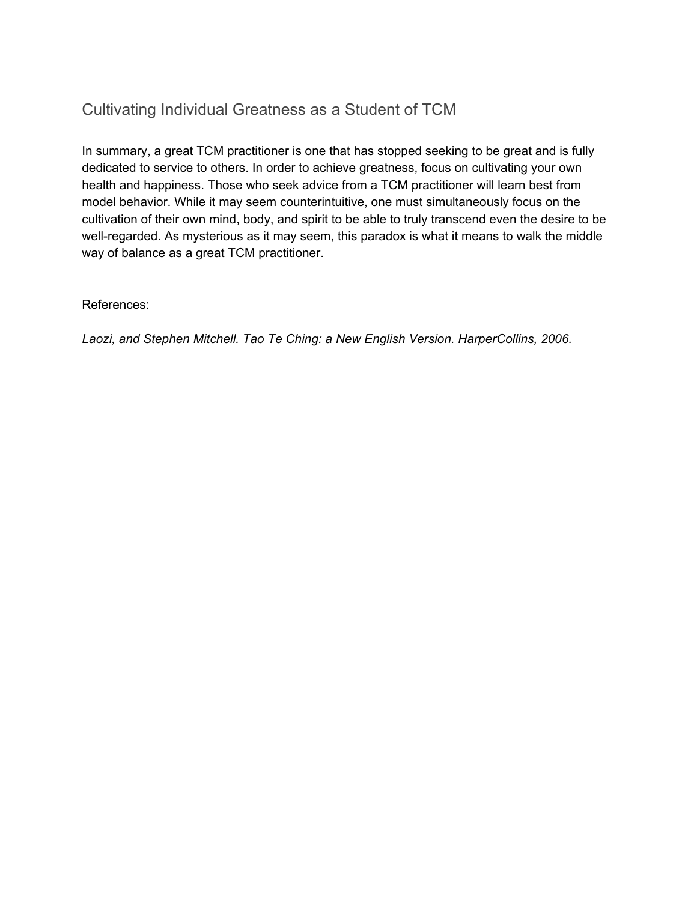## Cultivating Individual Greatness as a Student of TCM

In summary, a great TCM practitioner is one that has stopped seeking to be great and is fully dedicated to service to others. In order to achieve greatness, focus on cultivating your own health and happiness. Those who seek advice from a TCM practitioner will learn best from model behavior. While it may seem counterintuitive, one must simultaneously focus on the cultivation of their own mind, body, and spirit to be able to truly transcend even the desire to be well-regarded. As mysterious as it may seem, this paradox is what it means to walk the middle way of balance as a great TCM practitioner.

References:

*Laozi, and Stephen Mitchell. Tao Te Ching: a New English Version. HarperCollins, 2006.*